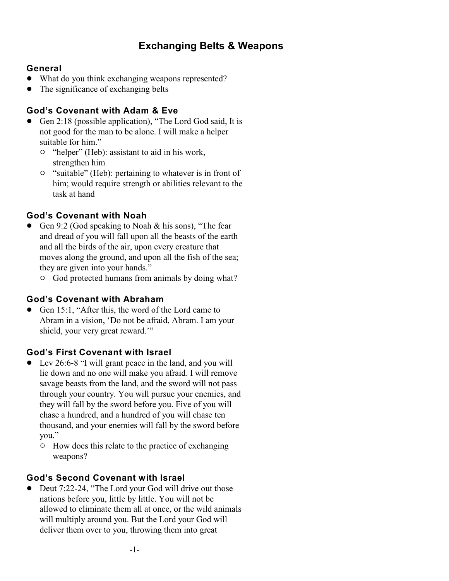# **Exchanging Belts & Weapons**

### **General**

- What do you think exchanging weapons represented?
- The significance of exchanging belts

### **God's Covenant with Adam & Eve**

- Gen 2:18 (possible application), "The Lord God said, It is not good for the man to be alone. I will make a helper suitable for him."
	- <sup>o</sup> "helper" (Heb): assistant to aid in his work, strengthen him
	- $\circ$  "suitable" (Heb): pertaining to whatever is in front of him; would require strength or abilities relevant to the task at hand

# **God's Covenant with Noah**

- Gen 9:2 (God speaking to Noah & his sons), "The fear and dread of you will fall upon all the beasts of the earth and all the birds of the air, upon every creature that moves along the ground, and upon all the fish of the sea; they are given into your hands."
	- $\circ$  God protected humans from animals by doing what?

### **God's Covenant with Abraham**

• Gen 15:1, "After this, the word of the Lord came to Abram in a vision, 'Do not be afraid, Abram. I am your shield, your very great reward.'"

### **God's First Covenant with Israel**

- ! Lev 26:6-8 "I will grant peace in the land, and you will lie down and no one will make you afraid. I will remove savage beasts from the land, and the sword will not pass through your country. You will pursue your enemies, and they will fall by the sword before you. Five of you will chase a hundred, and a hundred of you will chase ten thousand, and your enemies will fall by the sword before you."
	- <sup>o</sup> How does this relate to the practice of exchanging weapons?

# **God's Second Covenant with Israel**

Deut 7:22-24, "The Lord your God will drive out those nations before you, little by little. You will not be allowed to eliminate them all at once, or the wild animals will multiply around you. But the Lord your God will deliver them over to you, throwing them into great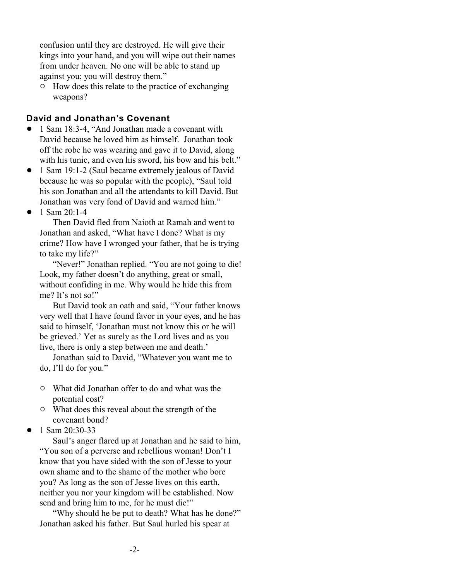confusion until they are destroyed. He will give their kings into your hand, and you will wipe out their names from under heaven. No one will be able to stand up against you; you will destroy them."

 $\circ$  How does this relate to the practice of exchanging weapons?

#### **David and Jonathan's Covenant**

- 1 Sam 18:3-4, "And Jonathan made a covenant with David because he loved him as himself. Jonathan took off the robe he was wearing and gave it to David, along with his tunic, and even his sword, his bow and his belt."
- 1 Sam 19:1-2 (Saul became extremely jealous of David because he was so popular with the people), "Saul told his son Jonathan and all the attendants to kill David. But Jonathan was very fond of David and warned him."
- $\bullet$  1 Sam 20:1-4

Then David fled from Naioth at Ramah and went to Jonathan and asked, "What have I done? What is my crime? How have I wronged your father, that he is trying to take my life?"

"Never!" Jonathan replied. "You are not going to die!" Look, my father doesn't do anything, great or small, without confiding in me. Why would he hide this from me? It's not so!"

But David took an oath and said, "Your father knows very well that I have found favor in your eyes, and he has said to himself, 'Jonathan must not know this or he will be grieved.' Yet as surely as the Lord lives and as you live, there is only a step between me and death.'

Jonathan said to David, "Whatever you want me to do, I'll do for you."

- " What did Jonathan offer to do and what was the potential cost?
- $\circ$  What does this reveal about the strength of the covenant bond?
- $\bullet$  1 Sam 20:30-33

Saul's anger flared up at Jonathan and he said to him, "You son of a perverse and rebellious woman! Don't I know that you have sided with the son of Jesse to your own shame and to the shame of the mother who bore you? As long as the son of Jesse lives on this earth, neither you nor your kingdom will be established. Now send and bring him to me, for he must die!"

"Why should he be put to death? What has he done?" Jonathan asked his father. But Saul hurled his spear at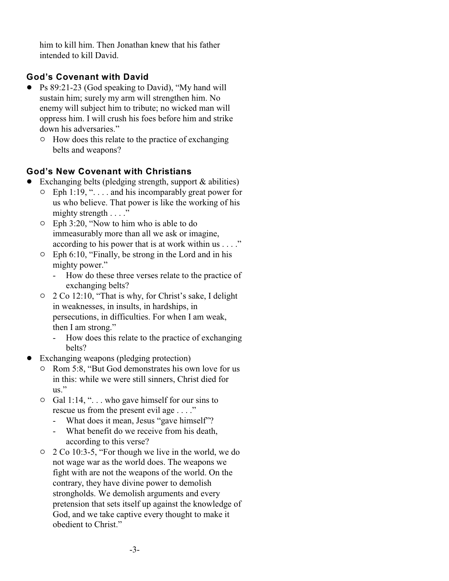him to kill him. Then Jonathan knew that his father intended to kill David.

# **God's Covenant with David**

- Ps 89:21-23 (God speaking to David), "My hand will sustain him; surely my arm will strengthen him. No enemy will subject him to tribute; no wicked man will oppress him. I will crush his foes before him and strike down his adversaries."
	- $\circ$  How does this relate to the practice of exchanging belts and weapons?

# **God's New Covenant with Christians**

- $\bullet$  Exchanging belts (pledging strength, support & abilities)
	- $\circ$  Eph 1:19, "... and his incomparably great power for us who believe. That power is like the working of his mighty strength . . . ."
	- $\circ$  Eph 3:20, "Now to him who is able to do immeasurably more than all we ask or imagine, according to his power that is at work within us . . . ."
	- $\circ$  Eph 6:10, "Finally, be strong in the Lord and in his mighty power."
		- How do these three verses relate to the practice of exchanging belts?
	- $\degree$  2 Co 12:10, "That is why, for Christ's sake, I delight in weaknesses, in insults, in hardships, in persecutions, in difficulties. For when I am weak, then I am strong."
		- How does this relate to the practice of exchanging belts?
- ! Exchanging weapons (pledging protection)
	- <sup>o</sup> Rom 5:8, "But God demonstrates his own love for us in this: while we were still sinners, Christ died for  $_{\rm us}$ "
	- $\circ$  Gal 1:14, "... who gave himself for our sins to rescue us from the present evil age . . . ."
		- What does it mean, Jesus "gave himself"?
		- What benefit do we receive from his death, according to this verse?
	- $\degree$  2 Co 10:3-5, "For though we live in the world, we do not wage war as the world does. The weapons we fight with are not the weapons of the world. On the contrary, they have divine power to demolish strongholds. We demolish arguments and every pretension that sets itself up against the knowledge of God, and we take captive every thought to make it obedient to Christ."